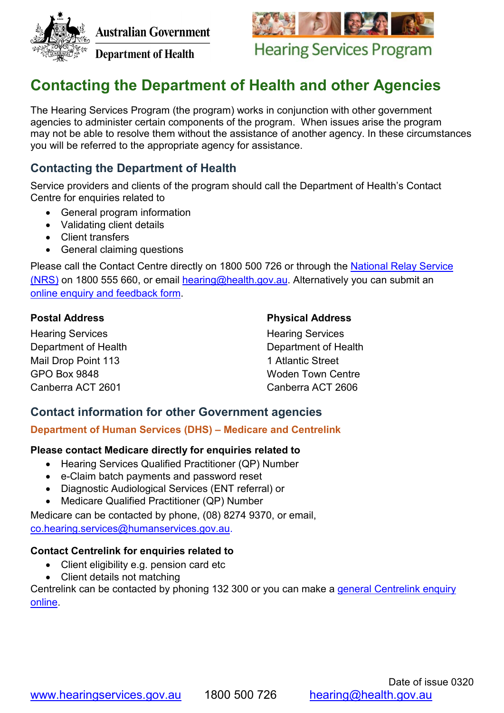

**Australian Government** 





**Hearing Services Program** 

# **Contacting the Department of Health and other Agencies**

The Hearing Services Program (the program) works in conjunction with other government agencies to administer certain components of the program. When issues arise the program may not be able to resolve them without the assistance of another agency. In these circumstances you will be referred to the appropriate agency for assistance.

# **Contacting the Department of Health**

Service providers and clients of the program should call the Department of Health's Contact Centre for enquiries related to

- General program information
- Validating client details
- Client transfers
- General claiming questions

Please call the Contact Centre directly on 1800 500 726 or through the National Relay Service [\(NRS\)](https://relayservice.gov.au/) on 1800 555 660, or email [hearing@health.gov.au.](mailto:hearing@health.gov.au) Alternatively you can submit an online enquiry [and feedback form.](http://www.hearingservices.gov.au/wps/portal/hso/site/webform/feedbackform/)

# **Postal Address**

Hearing Services Department of Health Mail Drop Point 113 GPO Box 9848 Canberra ACT 2601

# **Physical Address**

Hearing Services Department of Health 1 Atlantic Street Woden Town Centre Canberra ACT 2606

# **Contact information for other Government agencies**

#### **Department of Human Services (DHS) – Medicare and Centrelink**

#### **Please contact Medicare directly for enquiries related to**

- Hearing Services Qualified Practitioner (QP) Number
- e-Claim batch payments and password reset
- Diagnostic Audiological Services (ENT referral) or
- Medicare Qualified Practitioner (QP) Number

Medicare can be contacted by phone, (08) 8274 9370, or email,

[co.hearing.services@humanservices.gov.au.](mailto:co.hearing.services@humanservices.gov.au)

# **Contact Centrelink for enquiries related to**

- Client eligibility e.g. pension card etc
- Client details not matching

Centrelink can be contacted by phoning 132 300 or you can make a [general Centrelink enquiry](https://www.centrelink.gov.au/custsite_feedback/sims/contactUsPage.xhtml?wec-appid=sims&wec-locale=en)  [online.](https://www.centrelink.gov.au/custsite_feedback/sims/contactUsPage.xhtml?wec-appid=sims&wec-locale=en)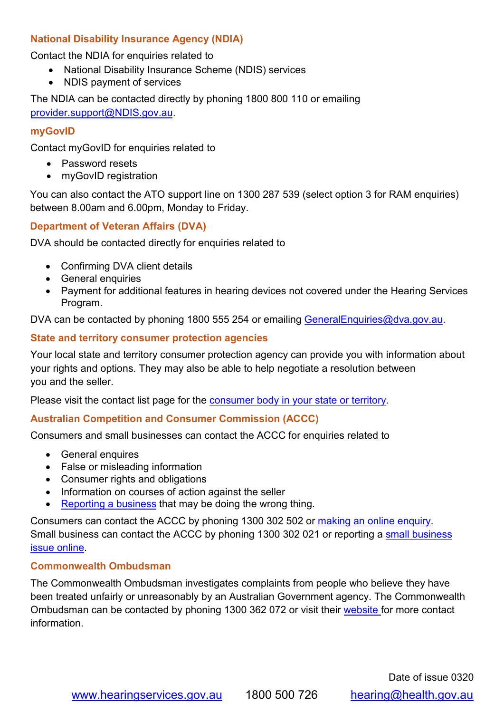# **National Disability Insurance Agency (NDIA)**

Contact the NDIA for enquiries related to

- National Disability Insurance Scheme (NDIS) services
- NDIS payment of services

The NDIA can be contacted directly by phoning 1800 800 110 or emailing [provider.support@NDIS.gov.au.](mailto:provider.support@NDIS.gov.au)

#### **myGovID**

Contact myGovID for enquiries related to

- Password resets
- myGovID registration

You can also contact the ATO support line on 1300 287 539 (select option 3 for RAM enquiries) between 8.00am and 6.00pm, Monday to Friday.

#### **[Department of Veteran](mailto:technical.help@ato.gov.au) Affairs (DVA)**

DVA should be contacted directly for enquiries related to

- Confirming DVA client details
- General enquiries
- Payment for additional features in hearing devices not covered under the Hearing Services Program.

DVA can be contacted by phoning 1800 555 254 or emailing [GeneralEnquiries@dva.gov.au.](mailto:GeneralEnquiries@dva.gov.au)

#### **State and territory consumer protection agencies**

Your local state and territory consumer protection agency can provide you with information about your rights and options. They may also be able to help negotiate a resolution between you and the seller.

Please visit the contact list page for the [consumer body in your state or territory.](https://www.accc.gov.au/contact-us/other-helpful-agencies/consumer-protection-agencies)

#### **Australian Competition and Consumer Commission (ACCC)**

Consumers and small businesses can contact the ACCC for enquiries related to

- General enquires
- False or misleading information
- Consumer rights and obligations
- Information on courses of action against the seller
- [Reporting a business](https://www.accc.gov.au/contact-us/contact-the-accc/report-a-small-business-issue) that may be doing the wrong thing.

Consumers can contact the ACCC by phoning 1300 302 502 or [making an online enquiry.](https://www.accc.gov.au/contact-us/contact-the-accc/make-an-enquiry) Small business can contact the ACCC by phoning 1300 302 021 or reporting a [small business](https://www.accc.gov.au/contact-us/contact-the-accc/report-a-small-business-issue)  [issue online.](https://www.accc.gov.au/contact-us/contact-the-accc/report-a-small-business-issue)

#### **Commonwealth Ombudsman**

The Commonwealth Ombudsman investigates complaints from people who believe they have been treated unfairly or unreasonably by an Australian Government agency. The Commonwealth Ombudsman can be contacted by phoning 1300 362 072 or visit their [website f](http://www.ombudsman.gov.au/making-a-complaint)or more contact information.

Date of issue 0320